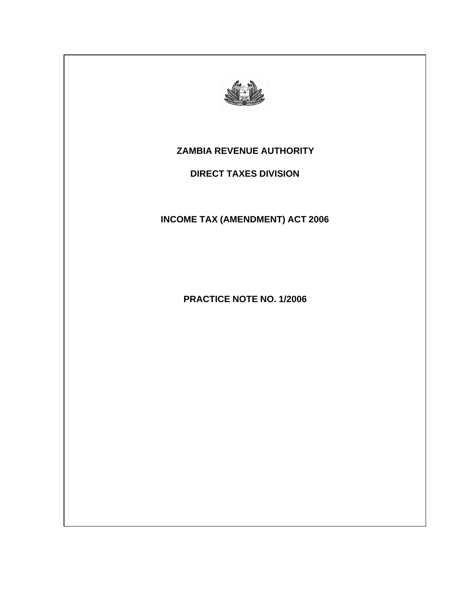

# **ZAMBIA REVENUE AUTHORITY**

# **DIRECT TAXES DIVISION**

# **INCOME TAX (AMENDMENT) ACT 2006**

**PRACTICE NOTE NO. 1/2006**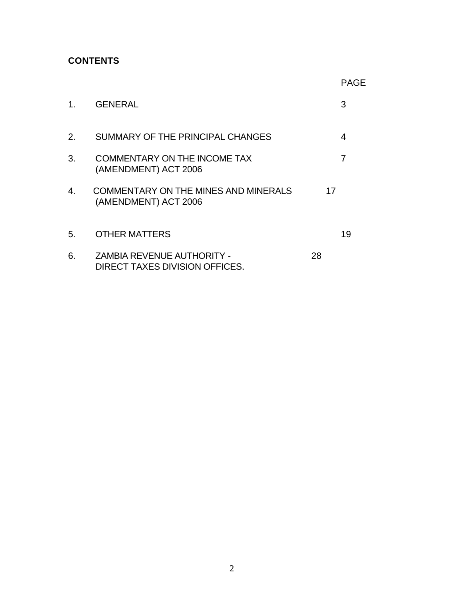# **CONTENTS**

|    |                                                                     | <b>PAGE</b> |
|----|---------------------------------------------------------------------|-------------|
| 1. | <b>GENERAL</b>                                                      | 3           |
| 2. | SUMMARY OF THE PRINCIPAL CHANGES                                    | 4           |
| 3. | <b>COMMENTARY ON THE INCOME TAX</b><br>(AMENDMENT) ACT 2006         | 7           |
| 4. | <b>COMMENTARY ON THE MINES AND MINERALS</b><br>(AMENDMENT) ACT 2006 | 17          |
| 5. | <b>OTHER MATTERS</b>                                                | 19          |
| 6. | <b>ZAMBIA REVENUE AUTHORITY -</b><br>DIRECT TAXES DIVISION OFFICES. | 28          |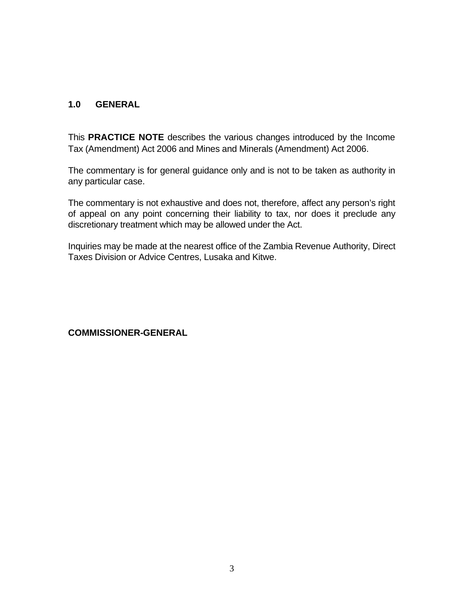### **1.0 GENERAL**

This **PRACTICE NOTE** describes the various changes introduced by the Income Tax (Amendment) Act 2006 and Mines and Minerals (Amendment) Act 2006.

The commentary is for general guidance only and is not to be taken as authority in any particular case.

The commentary is not exhaustive and does not, therefore, affect any person's right of appeal on any point concerning their liability to tax, nor does it preclude any discretionary treatment which may be allowed under the Act.

Inquiries may be made at the nearest office of the Zambia Revenue Authority, Direct Taxes Division or Advice Centres, Lusaka and Kitwe.

**COMMISSIONER-GENERAL**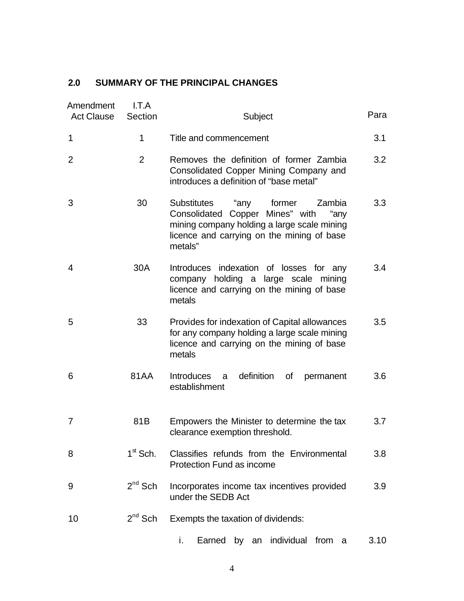# **2.0 SUMMARY OF THE PRINCIPAL CHANGES**

| Amendment<br><b>Act Clause</b> | I.T.A<br>Section | Subject                                                                                                                                                                                           | Para |
|--------------------------------|------------------|---------------------------------------------------------------------------------------------------------------------------------------------------------------------------------------------------|------|
| 1                              | 1                | Title and commencement                                                                                                                                                                            | 3.1  |
| 2                              | $\overline{2}$   | Removes the definition of former Zambia<br>Consolidated Copper Mining Company and<br>introduces a definition of "base metal"                                                                      | 3.2  |
| 3                              | 30               | <b>Substitutes</b><br>"any<br>former<br>Zambia<br>Consolidated Copper Mines" with<br>"any<br>mining company holding a large scale mining<br>licence and carrying on the mining of base<br>metals" | 3.3  |
| 4                              | 30A              | Introduces indexation of losses for any<br>company holding a large scale mining<br>licence and carrying on the mining of base<br>metals                                                           | 3.4  |
| 5                              | 33               | Provides for indexation of Capital allowances<br>for any company holding a large scale mining<br>licence and carrying on the mining of base<br>metals                                             | 3.5  |
| 6                              | 81AA             | definition<br><b>Introduces</b><br>of<br>permanent<br>a<br>establishment                                                                                                                          | 3.6  |
| 7                              | 81B              | Empowers the Minister to determine the tax<br>clearance exemption threshold.                                                                                                                      | 3.7  |
| 8                              | $1st$ Sch.       | Classifies refunds from the Environmental<br><b>Protection Fund as income</b>                                                                                                                     | 3.8  |
| 9                              | $2^{nd}$ Sch     | Incorporates income tax incentives provided<br>under the SEDB Act                                                                                                                                 | 3.9  |
| 10                             | $2^{nd}$ Sch     | Exempts the taxation of dividends:                                                                                                                                                                |      |
|                                |                  | i.<br>Earned by an individual<br>from<br>- a                                                                                                                                                      | 3.10 |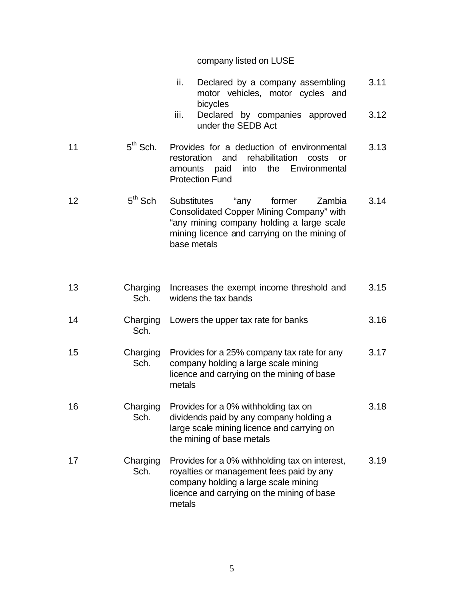# company listed on LUSE

|    |                  | ii.<br>Declared by a company assembling<br>motor vehicles, motor cycles and<br>bicycles                                                                                                                | 3.11 |
|----|------------------|--------------------------------------------------------------------------------------------------------------------------------------------------------------------------------------------------------|------|
|    |                  | Declared by companies approved<br>iii.<br>under the SEDB Act                                                                                                                                           | 3.12 |
| 11 | $5th$ Sch.       | Provides for a deduction of environmental<br>rehabilitation<br>restoration<br>and<br>costs<br>or<br>into the Environmental<br>amounts paid<br><b>Protection Fund</b>                                   | 3.13 |
| 12 | $5th$ Sch        | "any<br><b>Substitutes</b><br>former<br>Zambia<br>Consolidated Copper Mining Company" with<br>"any mining company holding a large scale<br>mining licence and carrying on the mining of<br>base metals | 3.14 |
| 13 | Charging<br>Sch. | Increases the exempt income threshold and<br>widens the tax bands                                                                                                                                      | 3.15 |
| 14 | Charging<br>Sch. | Lowers the upper tax rate for banks                                                                                                                                                                    | 3.16 |
| 15 | Charging<br>Sch. | Provides for a 25% company tax rate for any<br>company holding a large scale mining<br>licence and carrying on the mining of base<br>metals                                                            | 3.17 |
| 16 | Charging<br>Sch. | Provides for a 0% withholding tax on<br>dividends paid by any company holding a<br>large scale mining licence and carrying on<br>the mining of base metals                                             | 3.18 |
| 17 | Charging<br>Sch. | Provides for a 0% withholding tax on interest,<br>royalties or management fees paid by any<br>company holding a large scale mining<br>licence and carrying on the mining of base<br>metals             | 3.19 |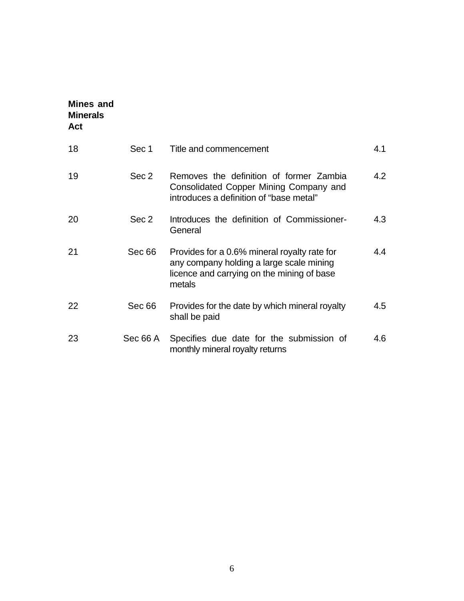| <b>Mines and</b><br><b>Minerals</b><br>Act |          |                                                                                                                                                  |     |
|--------------------------------------------|----------|--------------------------------------------------------------------------------------------------------------------------------------------------|-----|
| 18                                         | Sec 1    | Title and commencement                                                                                                                           | 4.1 |
| 19                                         | Sec 2    | Removes the definition of former Zambia<br>Consolidated Copper Mining Company and<br>introduces a definition of "base metal"                     | 4.2 |
| 20                                         | Sec 2    | Introduces the definition of Commissioner-<br>General                                                                                            | 4.3 |
| 21                                         | Sec 66   | Provides for a 0.6% mineral royalty rate for<br>any company holding a large scale mining<br>licence and carrying on the mining of base<br>metals | 4.4 |
| 22                                         | Sec 66   | Provides for the date by which mineral royalty<br>shall be paid                                                                                  | 4.5 |
| 23                                         | Sec 66 A | Specifies due date for the submission of<br>monthly mineral royalty returns                                                                      | 4.6 |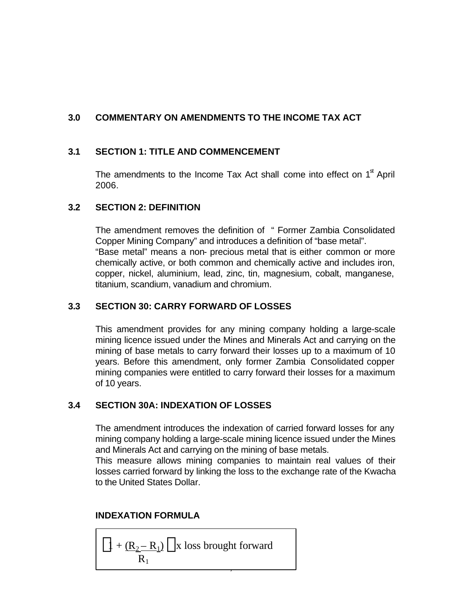# **3.0 COMMENTARY ON AMENDMENTS TO THE INCOME TAX ACT**

### **3.1 SECTION 1: TITLE AND COMMENCEMENT**

The amendments to the Income Tax Act shall come into effect on  $1<sup>st</sup>$  April 2006.

### **3.2 SECTION 2: DEFINITION**

The amendment removes the definition of " Former Zambia Consolidated Copper Mining Company" and introduces a definition of "base metal". "Base metal" means a non- precious metal that is either common or more chemically active, or both common and chemically active and includes iron, copper, nickel, aluminium, lead, zinc, tin, magnesium, cobalt, manganese, titanium, scandium, vanadium and chromium.

### **3.3 SECTION 30: CARRY FORWARD OF LOSSES**

This amendment provides for any mining company holding a large-scale mining licence issued under the Mines and Minerals Act and carrying on the mining of base metals to carry forward their losses up to a maximum of 10 years. Before this amendment, only former Zambia Consolidated copper mining companies were entitled to carry forward their losses for a maximum of 10 years.

### **3.4 SECTION 30A: INDEXATION OF LOSSES**

The amendment introduces the indexation of carried forward losses for any mining company holding a large-scale mining licence issued under the Mines and Minerals Act and carrying on the mining of base metals.

This measure allows mining companies to maintain real values of their losses carried forward by linking the loss to the exchange rate of the Kwacha to the United States Dollar.

### **INDEXATION FORMULA**

$$
\left\langle 1 + \frac{(R_2 - R_1)}{R_1} \right\rangle
$$
 x loss brought forward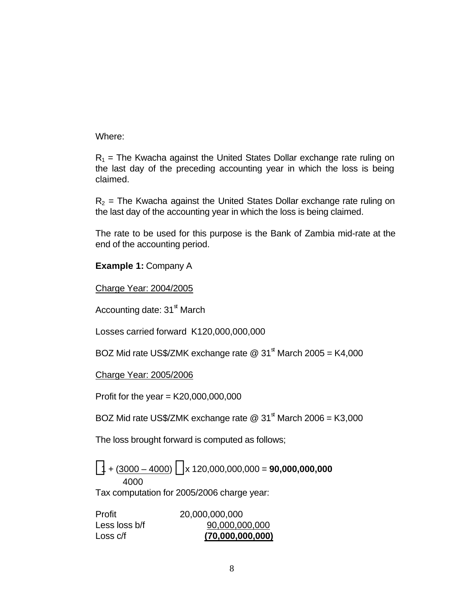Where:

 $R_1$  = The Kwacha against the United States Dollar exchange rate ruling on the last day of the preceding accounting year in which the loss is being claimed.

 $R<sub>2</sub>$  = The Kwacha against the United States Dollar exchange rate ruling on the last day of the accounting year in which the loss is being claimed.

The rate to be used for this purpose is the Bank of Zambia mid-rate at the end of the accounting period.

**Example 1:** Company A

Charge Year: 2004/2005

Accounting date:  $31<sup>st</sup>$  March

Losses carried forward K120,000,000,000

BOZ Mid rate US\$/ZMK exchange rate  $@31<sup>st</sup>$  March 2005 = K4,000

Charge Year: 2005/2006

Profit for the year =  $K20,000,000,000$ 

BOZ Mid rate US\$/ZMK exchange rate  $@31<sup>st</sup>$  March 2006 = K3,000

The loss brought forward is computed as follows;

 $\langle 1 + (3000 - 4000) \rangle$  x 120,000,000,000 = **90,000,000,000** 4000

Tax computation for 2005/2006 charge year:

| Profit        | 20,000,000,000   |
|---------------|------------------|
| Less loss b/f | 90,000,000,000   |
| Loss c/f      | (70,000,000,000) |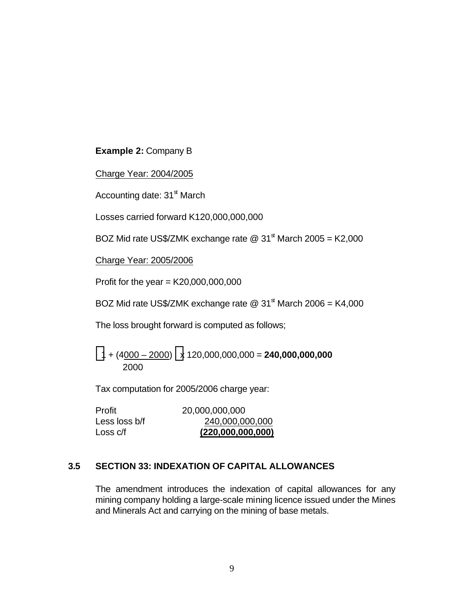### **Example 2:** Company B

Charge Year: 2004/2005

Accounting date: 31<sup>st</sup> March

Losses carried forward K120,000,000,000

BOZ Mid rate US\$/ZMK exchange rate  $@31<sup>st</sup>$  March 2005 = K2,000

Charge Year: 2005/2006

Profit for the year =  $K20,000,000,000$ 

BOZ Mid rate US\$/ZMK exchange rate  $@31^{\text{st}}$  March 2006 = K4,000

The loss brought forward is computed as follows;

 $\left\langle 1 + \left(4\underline{000} - 2000\right) \right\rangle$  x 120,000,000,000 = **240,000,000,000** 2000

Tax computation for 2005/2006 charge year:

| Profit        | 20,000,000,000    |
|---------------|-------------------|
| Less loss b/f | 240,000,000,000   |
| Loss c/f      | (220,000,000,000) |

### **3.5 SECTION 33: INDEXATION OF CAPITAL ALLOWANCES**

The amendment introduces the indexation of capital allowances for any mining company holding a large-scale mining licence issued under the Mines and Minerals Act and carrying on the mining of base metals.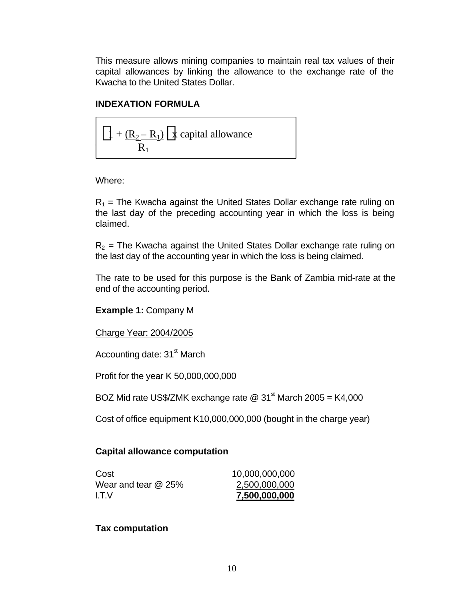This measure allows mining companies to maintain real tax values of their capital allowances by linking the allowance to the exchange rate of the Kwacha to the United States Dollar.

### **INDEXATION FORMULA**

$$
\langle 1 + \frac{(R_2 - R_1)}{R_1} \rangle
$$
x capital allowance

Where:

 $R_1$  = The Kwacha against the United States Dollar exchange rate ruling on the last day of the preceding accounting year in which the loss is being claimed.

 $R<sub>2</sub>$  = The Kwacha against the United States Dollar exchange rate ruling on the last day of the accounting year in which the loss is being claimed.

The rate to be used for this purpose is the Bank of Zambia mid-rate at the end of the accounting period.

**Example 1:** Company M

Charge Year: 2004/2005

Accounting date:  $31<sup>st</sup>$  March

Profit for the year K 50,000,000,000

BOZ Mid rate US\$/ZMK exchange rate  $\textcircled{2}$  31<sup>st</sup> March 2005 = K4,000

Cost of office equipment K10,000,000,000 (bought in the charge year)

### **Capital allowance computation**

| Cost                  | 10,000,000,000 |
|-----------------------|----------------|
| Wear and tear $@$ 25% | 2,500,000,000  |
| I.T.V                 | 7,500,000,000  |

### **Tax computation**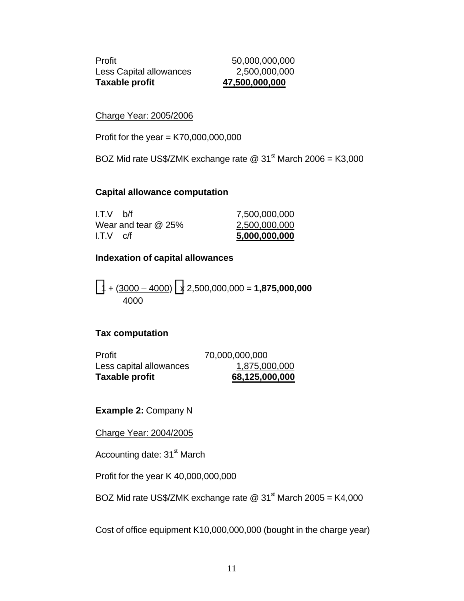Profit 50,000,000,000 Less Capital allowances 2,500,000,000 **Taxable profit 47,500,000,000**

Charge Year: 2005/2006

Profit for the year =  $K70,000,000,000$ 

BOZ Mid rate US\$/ZMK exchange rate  $@31<sup>st</sup>$  March 2006 = K3,000

#### **Capital allowance computation**

| I.T.V<br>C/t          | 5,000,000,000 |
|-----------------------|---------------|
| Wear and tear $@$ 25% | 2,500,000,000 |
| I.T.V<br>h/f          | 7,500,000,000 |

#### **Indexation of capital allowances**

 $\langle 1 + (3000 - 4000) \rangle$ x 2,500,000,000 = **1,875,000,000** 4000

### **Tax computation**

| Taxable profit          | 68,125,000,000 |
|-------------------------|----------------|
| Less capital allowances | 1,875,000,000  |
| Profit                  | 70,000,000,000 |

**Example 2:** Company N

Charge Year: 2004/2005

Accounting date:  $31<sup>st</sup>$  March

Profit for the year K 40,000,000,000

BOZ Mid rate US\$/ZMK exchange rate  $@31<sup>st</sup>$  March 2005 = K4,000

Cost of office equipment K10,000,000,000 (bought in the charge year)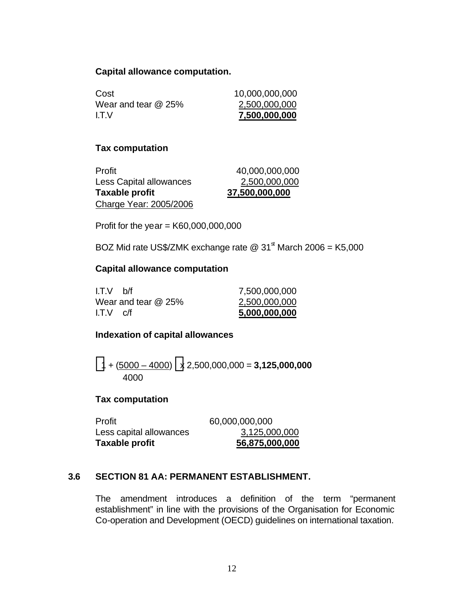#### **Capital allowance computation.**

| Cost                | 10,000,000,000 |
|---------------------|----------------|
| Wear and tear @ 25% | 2,500,000,000  |
| I.T.V               | 7,500,000,000  |

#### **Tax computation**

| Profit                         | 40,000,000,000 |
|--------------------------------|----------------|
| <b>Less Capital allowances</b> | 2,500,000,000  |
| Taxable profit                 | 37,500,000,000 |
| Charge Year: 2005/2006         |                |

Profit for the year =  $K60,000,000,000$ 

BOZ Mid rate US\$/ZMK exchange rate  $@31^{\text{st}}$  March 2006 = K5,000

#### **Capital allowance computation**

| $I.T.V$ $C/f$       | 5,000,000,000 |
|---------------------|---------------|
| Wear and tear @ 25% | 2,500,000,000 |
| I.T.V<br>h/f        | 7,500,000,000 |

### **Indexation of capital allowances**

 $\left\langle 1 + \frac{(5000 - 4000)}{2} \right\rangle$  x 2,500,000,000 = **3,125,000,000** 4000

### **Tax computation**

| Profit                  | 60,000,000,000 |
|-------------------------|----------------|
| Less capital allowances | 3,125,000,000  |
| Taxable profit          | 56,875,000,000 |

### **3.6 SECTION 81 AA: PERMANENT ESTABLISHMENT.**

The amendment introduces a definition of the term "permanent establishment" in line with the provisions of the Organisation for Economic Co-operation and Development (OECD) guidelines on international taxation.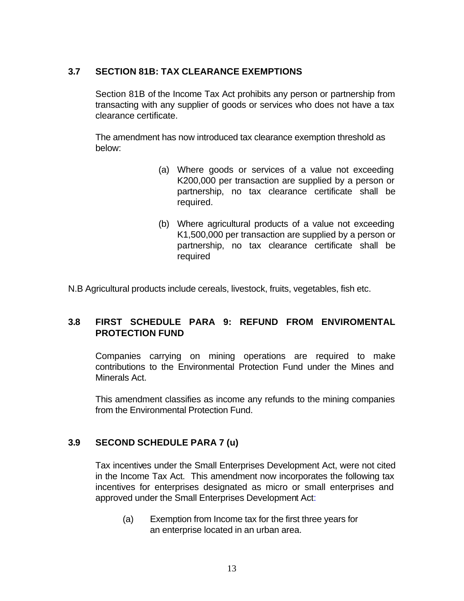### **3.7 SECTION 81B: TAX CLEARANCE EXEMPTIONS**

Section 81B of the Income Tax Act prohibits any person or partnership from transacting with any supplier of goods or services who does not have a tax clearance certificate.

The amendment has now introduced tax clearance exemption threshold as below:

- (a) Where goods or services of a value not exceeding K200,000 per transaction are supplied by a person or partnership, no tax clearance certificate shall be required.
- (b) Where agricultural products of a value not exceeding K1,500,000 per transaction are supplied by a person or partnership, no tax clearance certificate shall be required

N.B Agricultural products include cereals, livestock, fruits, vegetables, fish etc.

### **3.8 FIRST SCHEDULE PARA 9: REFUND FROM ENVIROMENTAL PROTECTION FUND**

Companies carrying on mining operations are required to make contributions to the Environmental Protection Fund under the Mines and Minerals Act.

This amendment classifies as income any refunds to the mining companies from the Environmental Protection Fund.

### **3.9 SECOND SCHEDULE PARA 7 (u)**

Tax incentives under the Small Enterprises Development Act, were not cited in the Income Tax Act. This amendment now incorporates the following tax incentives for enterprises designated as micro or small enterprises and approved under the Small Enterprises Development Act:

(a) Exemption from Income tax for the first three years for an enterprise located in an urban area.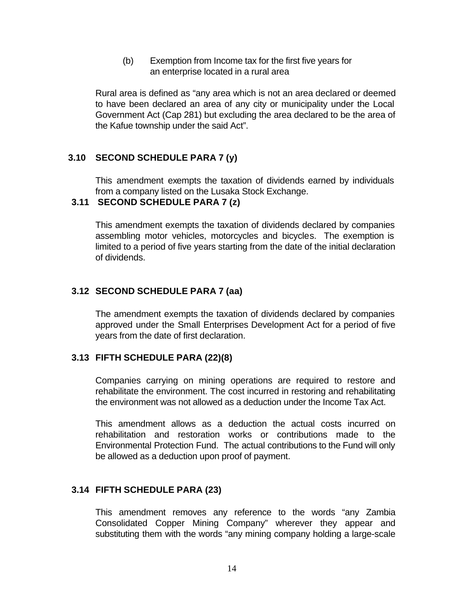(b) Exemption from Income tax for the first five years for an enterprise located in a rural area

Rural area is defined as "any area which is not an area declared or deemed to have been declared an area of any city or municipality under the Local Government Act (Cap 281) but excluding the area declared to be the area of the Kafue township under the said Act".

### **3.10 SECOND SCHEDULE PARA 7 (y)**

This amendment exempts the taxation of dividends earned by individuals from a company listed on the Lusaka Stock Exchange.

### **3.11 SECOND SCHEDULE PARA 7 (z)**

This amendment exempts the taxation of dividends declared by companies assembling motor vehicles, motorcycles and bicycles. The exemption is limited to a period of five years starting from the date of the initial declaration of dividends.

### **3.12 SECOND SCHEDULE PARA 7 (aa)**

The amendment exempts the taxation of dividends declared by companies approved under the Small Enterprises Development Act for a period of five years from the date of first declaration.

### **3.13 FIFTH SCHEDULE PARA (22)(8)**

Companies carrying on mining operations are required to restore and rehabilitate the environment. The cost incurred in restoring and rehabilitating the environment was not allowed as a deduction under the Income Tax Act.

This amendment allows as a deduction the actual costs incurred on rehabilitation and restoration works or contributions made to the Environmental Protection Fund. The actual contributions to the Fund will only be allowed as a deduction upon proof of payment.

### **3.14 FIFTH SCHEDULE PARA (23)**

This amendment removes any reference to the words "any Zambia Consolidated Copper Mining Company" wherever they appear and substituting them with the words "any mining company holding a large-scale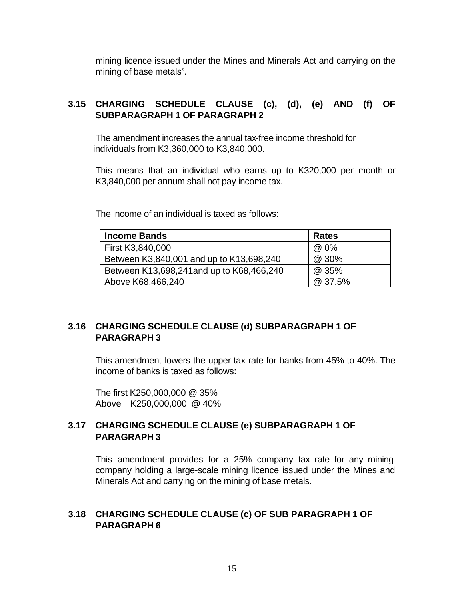mining licence issued under the Mines and Minerals Act and carrying on the mining of base metals".

### **3.15 CHARGING SCHEDULE CLAUSE (c), (d), (e) AND (f) OF SUBPARAGRAPH 1 OF PARAGRAPH 2**

The amendment increases the annual tax-free income threshold for individuals from K3,360,000 to K3,840,000.

This means that an individual who earns up to K320,000 per month or K3,840,000 per annum shall not pay income tax.

The income of an individual is taxed as follows:

| <b>Income Bands</b>                       | <b>Rates</b> |
|-------------------------------------------|--------------|
| First K3,840,000                          | @ 0%         |
| Between K3,840,001 and up to K13,698,240  | @ 30%        |
| Between K13,698,241 and up to K68,466,240 | @ 35%        |
| Above K68,466,240                         | @ 37.5%      |

### **3.16 CHARGING SCHEDULE CLAUSE (d) SUBPARAGRAPH 1 OF PARAGRAPH 3**

This amendment lowers the upper tax rate for banks from 45% to 40%. The income of banks is taxed as follows:

The first K250,000,000 @ 35% Above K250,000,000 @ 40%

### **3.17 CHARGING SCHEDULE CLAUSE (e) SUBPARAGRAPH 1 OF PARAGRAPH 3**

This amendment provides for a 25% company tax rate for any mining company holding a large-scale mining licence issued under the Mines and Minerals Act and carrying on the mining of base metals.

### **3.18 CHARGING SCHEDULE CLAUSE (c) OF SUB PARAGRAPH 1 OF PARAGRAPH 6**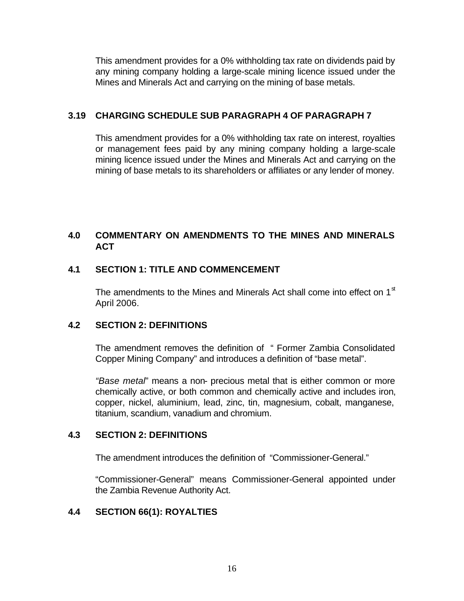This amendment provides for a 0% withholding tax rate on dividends paid by any mining company holding a large-scale mining licence issued under the Mines and Minerals Act and carrying on the mining of base metals.

### **3.19 CHARGING SCHEDULE SUB PARAGRAPH 4 OF PARAGRAPH 7**

This amendment provides for a 0% withholding tax rate on interest, royalties or management fees paid by any mining company holding a large-scale mining licence issued under the Mines and Minerals Act and carrying on the mining of base metals to its shareholders or affiliates or any lender of money.

### **4.0 COMMENTARY ON AMENDMENTS TO THE MINES AND MINERALS ACT**

### **4.1 SECTION 1: TITLE AND COMMENCEMENT**

The amendments to the Mines and Minerals Act shall come into effect on  $1<sup>st</sup>$ April 2006.

### **4.2 SECTION 2: DEFINITIONS**

The amendment removes the definition of " Former Zambia Consolidated Copper Mining Company" and introduces a definition of "base metal".

*"Base metal*" means a non- precious metal that is either common or more chemically active, or both common and chemically active and includes iron, copper, nickel, aluminium, lead, zinc, tin, magnesium, cobalt, manganese, titanium, scandium, vanadium and chromium.

### **4.3 SECTION 2: DEFINITIONS**

The amendment introduces the definition of "Commissioner-General."

"Commissioner-General" means Commissioner-General appointed under the Zambia Revenue Authority Act.

### **4.4 SECTION 66(1): ROYALTIES**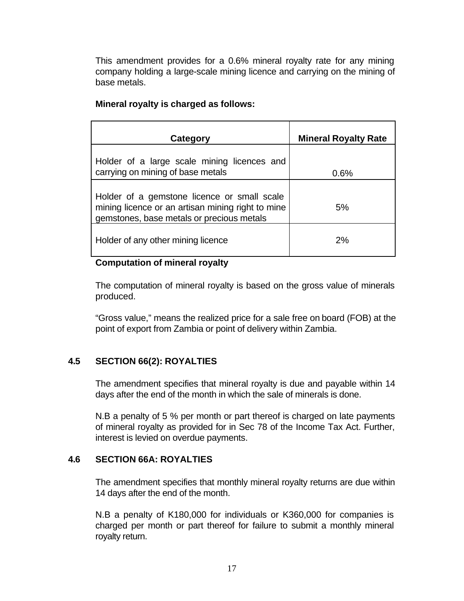This amendment provides for a 0.6% mineral royalty rate for any mining company holding a large-scale mining licence and carrying on the mining of base metals.

| Category                                                                                                                                      | <b>Mineral Royalty Rate</b> |
|-----------------------------------------------------------------------------------------------------------------------------------------------|-----------------------------|
| Holder of a large scale mining licences and<br>carrying on mining of base metals                                                              | 0.6%                        |
| Holder of a gemstone licence or small scale<br>mining licence or an artisan mining right to mine<br>gemstones, base metals or precious metals | 5%                          |
| Holder of any other mining licence                                                                                                            | 2%                          |

### **Mineral royalty is charged as follows:**

#### **Computation of mineral royalty**

The computation of mineral royalty is based on the gross value of minerals produced.

"Gross value," means the realized price for a sale free on board (FOB) at the point of export from Zambia or point of delivery within Zambia.

### **4.5 SECTION 66(2): ROYALTIES**

The amendment specifies that mineral royalty is due and payable within 14 days after the end of the month in which the sale of minerals is done.

N.B a penalty of 5 % per month or part thereof is charged on late payments of mineral royalty as provided for in Sec 78 of the Income Tax Act. Further, interest is levied on overdue payments.

### **4.6 SECTION 66A: ROYALTIES**

The amendment specifies that monthly mineral royalty returns are due within 14 days after the end of the month.

N.B a penalty of K180,000 for individuals or K360,000 for companies is charged per month or part thereof for failure to submit a monthly mineral royalty return.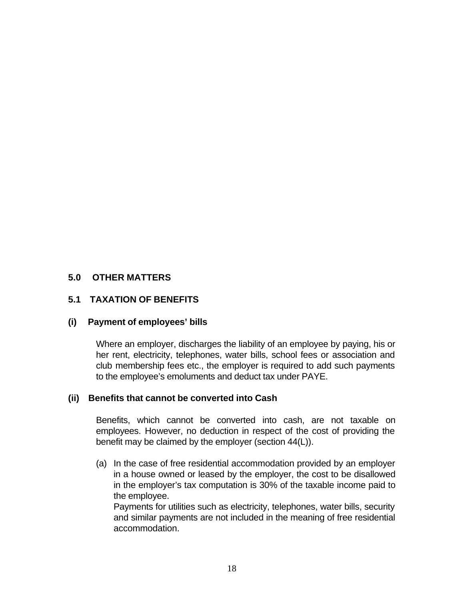### **5.0 OTHER MATTERS**

### **5.1 TAXATION OF BENEFITS**

### **(i) Payment of employees' bills**

Where an employer, discharges the liability of an employee by paying, his or her rent, electricity, telephones, water bills, school fees or association and club membership fees etc., the employer is required to add such payments to the employee's emoluments and deduct tax under PAYE.

### **(ii) Benefits that cannot be converted into Cash**

Benefits, which cannot be converted into cash, are not taxable on employees. However, no deduction in respect of the cost of providing the benefit may be claimed by the employer (section 44(L)).

(a) In the case of free residential accommodation provided by an employer in a house owned or leased by the employer, the cost to be disallowed in the employer's tax computation is 30% of the taxable income paid to the employee.

Payments for utilities such as electricity, telephones, water bills, security and similar payments are not included in the meaning of free residential accommodation.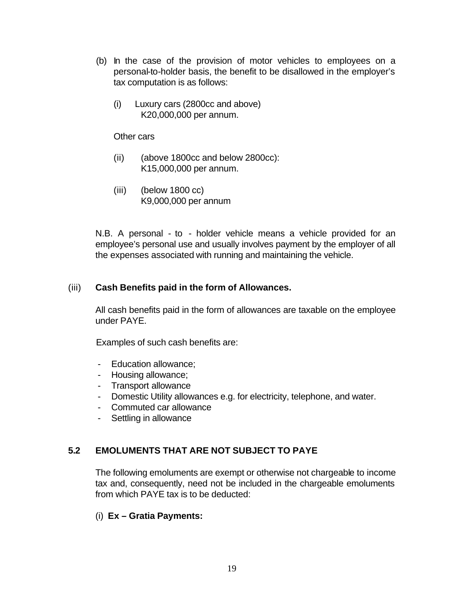- (b) In the case of the provision of motor vehicles to employees on a personal-to-holder basis, the benefit to be disallowed in the employer's tax computation is as follows:
	- (i) Luxury cars (2800cc and above) K20,000,000 per annum.

Other cars

- (ii) (above 1800cc and below 2800cc): K15,000,000 per annum.
- (iii) (below 1800 cc) K9,000,000 per annum

N.B. A personal - to - holder vehicle means a vehicle provided for an employee's personal use and usually involves payment by the employer of all the expenses associated with running and maintaining the vehicle.

### (iii) **Cash Benefits paid in the form of Allowances.**

All cash benefits paid in the form of allowances are taxable on the employee under PAYE.

Examples of such cash benefits are:

- Education allowance;
- Housing allowance;
- Transport allowance
- Domestic Utility allowances e.g. for electricity, telephone, and water.
- Commuted car allowance
- Settling in allowance

# **5.2 EMOLUMENTS THAT ARE NOT SUBJECT TO PAYE**

The following emoluments are exempt or otherwise not chargeable to income tax and, consequently, need not be included in the chargeable emoluments from which PAYE tax is to be deducted:

### (i) **Ex – Gratia Payments:**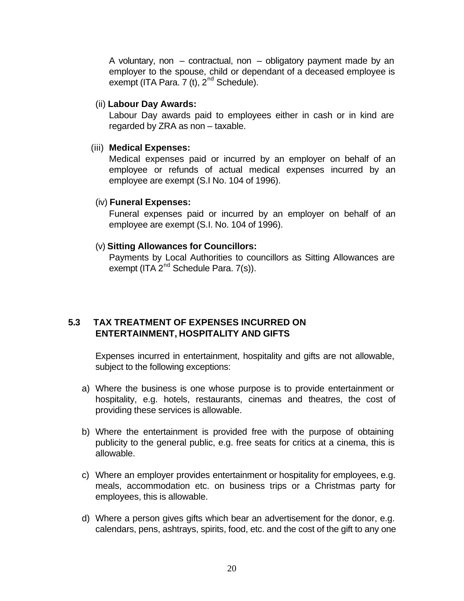A voluntary, non  $-$  contractual, non  $-$  obligatory payment made by an employer to the spouse, child or dependant of a deceased employee is exempt (ITA Para. 7 (t),  $2^{nd}$  Schedule).

(ii) **Labour Day Awards:**

Labour Day awards paid to employees either in cash or in kind are regarded by ZRA as non – taxable.

#### (iii) **Medical Expenses:**

Medical expenses paid or incurred by an employer on behalf of an employee or refunds of actual medical expenses incurred by an employee are exempt (S.I No. 104 of 1996).

### (iv) **Funeral Expenses:**

Funeral expenses paid or incurred by an employer on behalf of an employee are exempt (S.I. No. 104 of 1996).

### (v) **Sitting Allowances for Councillors:**

Payments by Local Authorities to councillors as Sitting Allowances are exempt (ITA 2<sup>nd</sup> Schedule Para. 7(s)).

### **5.3 TAX TREATMENT OF EXPENSES INCURRED ON ENTERTAINMENT, HOSPITALITY AND GIFTS**

Expenses incurred in entertainment, hospitality and gifts are not allowable, subject to the following exceptions:

- a) Where the business is one whose purpose is to provide entertainment or hospitality, e.g. hotels, restaurants, cinemas and theatres, the cost of providing these services is allowable.
- b) Where the entertainment is provided free with the purpose of obtaining publicity to the general public, e.g. free seats for critics at a cinema, this is allowable.
- c) Where an employer provides entertainment or hospitality for employees, e.g. meals, accommodation etc. on business trips or a Christmas party for employees, this is allowable.
- d) Where a person gives gifts which bear an advertisement for the donor, e.g. calendars, pens, ashtrays, spirits, food, etc. and the cost of the gift to any one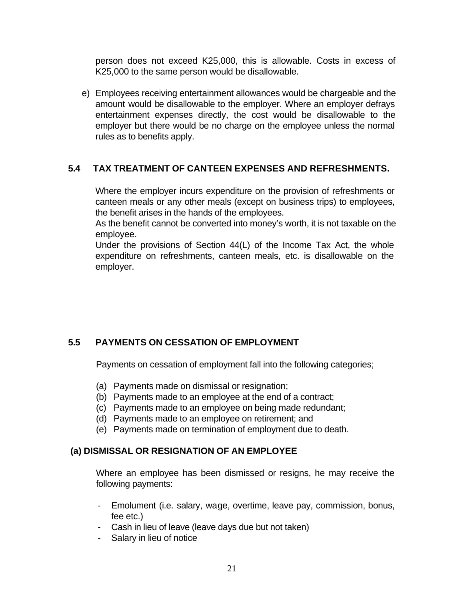person does not exceed K25,000, this is allowable. Costs in excess of K25,000 to the same person would be disallowable.

e) Employees receiving entertainment allowances would be chargeable and the amount would be disallowable to the employer. Where an employer defrays entertainment expenses directly, the cost would be disallowable to the employer but there would be no charge on the employee unless the normal rules as to benefits apply.

### **5.4 TAX TREATMENT OF CANTEEN EXPENSES AND REFRESHMENTS.**

Where the employer incurs expenditure on the provision of refreshments or canteen meals or any other meals (except on business trips) to employees, the benefit arises in the hands of the employees.

As the benefit cannot be converted into money's worth, it is not taxable on the employee.

Under the provisions of Section 44(L) of the Income Tax Act, the whole expenditure on refreshments, canteen meals, etc. is disallowable on the employer.

# **5.5 PAYMENTS ON CESSATION OF EMPLOYMENT**

Payments on cessation of employment fall into the following categories;

- (a) Payments made on dismissal or resignation;
- (b) Payments made to an employee at the end of a contract;
- (c) Payments made to an employee on being made redundant;
- (d) Payments made to an employee on retirement; and
- (e) Payments made on termination of employment due to death.

### **(a) DISMISSAL OR RESIGNATION OF AN EMPLOYEE**

Where an employee has been dismissed or resigns, he may receive the following payments:

- Emolument (i.e. salary, wage, overtime, leave pay, commission, bonus, fee etc.)
- Cash in lieu of leave (leave days due but not taken)
- Salary in lieu of notice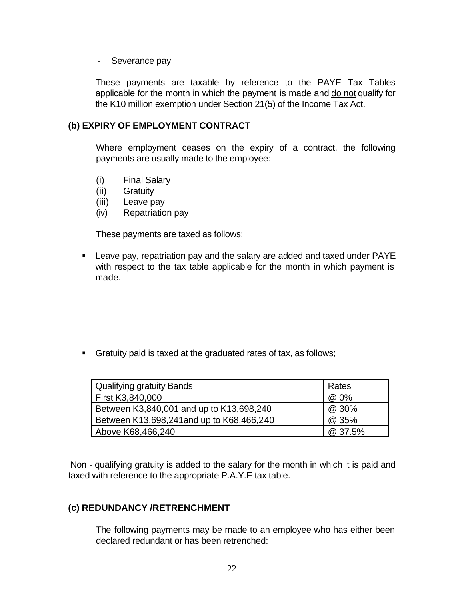- Severance pay

These payments are taxable by reference to the PAYE Tax Tables applicable for the month in which the payment is made and do not qualify for the K10 million exemption under Section 21(5) of the Income Tax Act.

### **(b) EXPIRY OF EMPLOYMENT CONTRACT**

Where employment ceases on the expiry of a contract, the following payments are usually made to the employee:

- (i) Final Salary
- (ii) Gratuity
- (iii) Leave pay
- (iv) Repatriation pay

These payments are taxed as follows:

ß Leave pay, repatriation pay and the salary are added and taxed under PAYE with respect to the tax table applicable for the month in which payment is made.

**Simulary Fratuity paid is taxed at the graduated rates of tax, as follows;** 

| Qualifying gratuity Bands                 | Rates   |
|-------------------------------------------|---------|
| First K3,840,000                          | @ 0%    |
| Between K3,840,001 and up to K13,698,240  | @ 30%   |
| Between K13,698,241 and up to K68,466,240 | @ 35%   |
| Above K68,466,240                         | @ 37.5% |

 Non - qualifying gratuity is added to the salary for the month in which it is paid and taxed with reference to the appropriate P.A.Y.E tax table.

### **(c) REDUNDANCY /RETRENCHMENT**

The following payments may be made to an employee who has either been declared redundant or has been retrenched: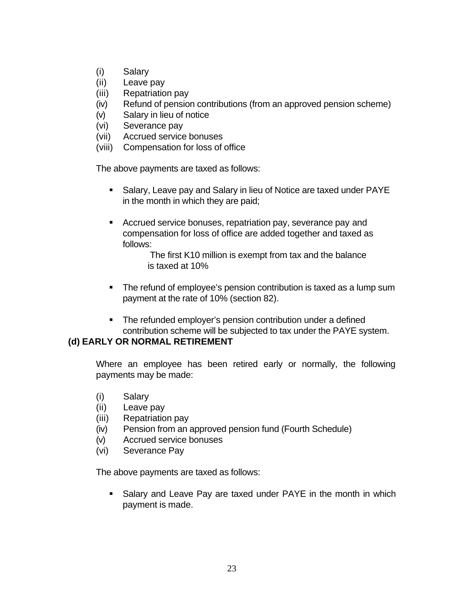- (i) Salary
- (ii) Leave pay
- (iii) Repatriation pay
- (iv) Refund of pension contributions (from an approved pension scheme)
- (v) Salary in lieu of notice
- (vi) Severance pay
- (vii) Accrued service bonuses
- (viii) Compensation for loss of office

The above payments are taxed as follows:

- ß Salary, Leave pay and Salary in lieu of Notice are taxed under PAYE in the month in which they are paid;
- **EXECT** Accrued service bonuses, repatriation pay, severance pay and compensation for loss of office are added together and taxed as follows:

The first K10 million is exempt from tax and the balance is taxed at 10%

- The refund of employee's pension contribution is taxed as a lump sum payment at the rate of 10% (section 82).
- **F** The refunded employer's pension contribution under a defined contribution scheme will be subjected to tax under the PAYE system.

### **(d) EARLY OR NORMAL RETIREMENT**

Where an employee has been retired early or normally, the following payments may be made:

- (i) Salary
- (ii) Leave pay
- (iii) Repatriation pay
- (iv) Pension from an approved pension fund (Fourth Schedule)
- (v) Accrued service bonuses
- (vi) Severance Pay

The above payments are taxed as follows:

**Salary and Leave Pay are taxed under PAYE in the month in which** payment is made.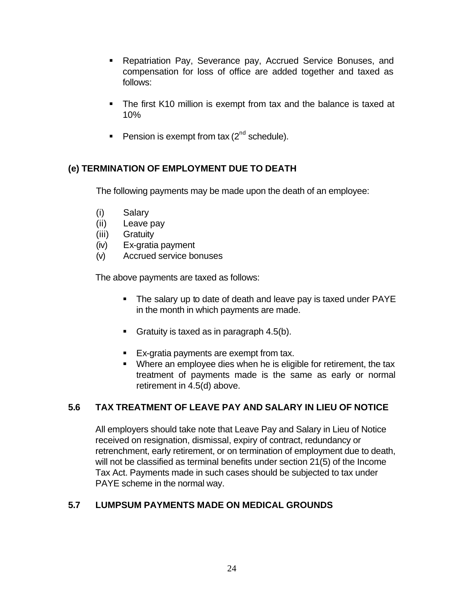- **Repatriation Pay, Severance pay, Accrued Service Bonuses, and** compensation for loss of office are added together and taxed as follows:
- The first K10 million is exempt from tax and the balance is taxed at 10%
- Pension is exempt from tax  $(2^{nd}$  schedule).

# **(e) TERMINATION OF EMPLOYMENT DUE TO DEATH**

The following payments may be made upon the death of an employee:

- (i) Salary
- (ii) Leave pay
- (iii) Gratuity
- (iv) Ex-gratia payment
- (v) Accrued service bonuses

The above payments are taxed as follows:

- The salary up to date of death and leave pay is taxed under PAYE in the month in which payments are made.
- Gratuity is taxed as in paragraph  $4.5(b)$ .
- Ex-gratia payments are exempt from tax.
- Where an employee dies when he is eligible for retirement, the tax treatment of payments made is the same as early or normal retirement in 4.5(d) above.

# **5.6 TAX TREATMENT OF LEAVE PAY AND SALARY IN LIEU OF NOTICE**

All employers should take note that Leave Pay and Salary in Lieu of Notice received on resignation, dismissal, expiry of contract, redundancy or retrenchment, early retirement, or on termination of employment due to death, will not be classified as terminal benefits under section 21(5) of the Income Tax Act. Payments made in such cases should be subjected to tax under PAYE scheme in the normal way.

# **5.7 LUMPSUM PAYMENTS MADE ON MEDICAL GROUNDS**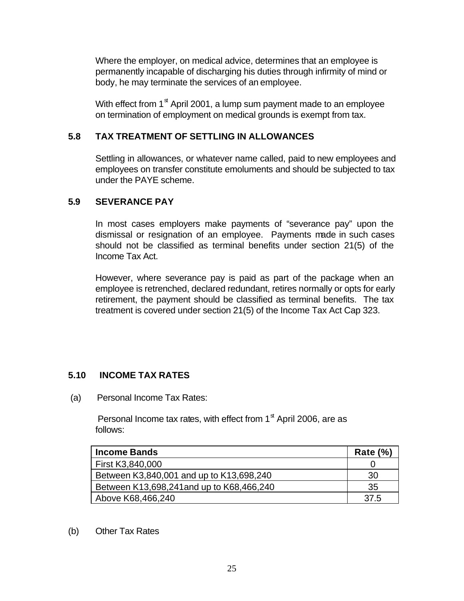Where the employer, on medical advice, determines that an employee is permanently incapable of discharging his duties through infirmity of mind or body, he may terminate the services of an employee.

With effect from  $1<sup>st</sup>$  April 2001, a lump sum payment made to an employee on termination of employment on medical grounds is exempt from tax.

### **5.8 TAX TREATMENT OF SETTLING IN ALLOWANCES**

Settling in allowances, or whatever name called, paid to new employees and employees on transfer constitute emoluments and should be subjected to tax under the PAYE scheme.

### **5.9 SEVERANCE PAY**

In most cases employers make payments of "severance pay" upon the dismissal or resignation of an employee. Payments made in such cases should not be classified as terminal benefits under section 21(5) of the Income Tax Act.

However, where severance pay is paid as part of the package when an employee is retrenched, declared redundant, retires normally or opts for early retirement, the payment should be classified as terminal benefits. The tax treatment is covered under section 21(5) of the Income Tax Act Cap 323.

### **5.10 INCOME TAX RATES**

(a) Personal Income Tax Rates:

Personal Income tax rates, with effect from  $1<sup>st</sup>$  April 2006, are as follows:

| <b>Income Bands</b>                       | Rate $(\%)$ |
|-------------------------------------------|-------------|
| First K3,840,000                          |             |
| Between K3,840,001 and up to K13,698,240  | 30          |
| Between K13,698,241 and up to K68,466,240 | 35          |
| Above K68,466,240                         | 37.5        |

#### (b) Other Tax Rates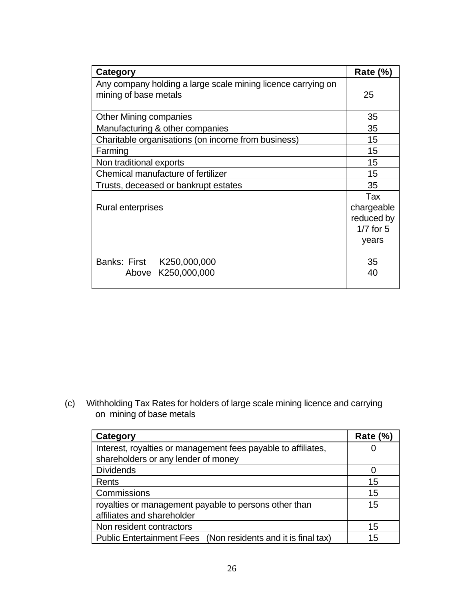| Category                                                                              | Rate $(\%)$                                               |
|---------------------------------------------------------------------------------------|-----------------------------------------------------------|
| Any company holding a large scale mining licence carrying on<br>mining of base metals | 25                                                        |
| <b>Other Mining companies</b>                                                         | 35                                                        |
| Manufacturing & other companies                                                       | 35                                                        |
| Charitable organisations (on income from business)                                    | 15                                                        |
| Farming                                                                               | 15                                                        |
| Non traditional exports                                                               | 15                                                        |
| Chemical manufacture of fertilizer                                                    | 15                                                        |
| Trusts, deceased or bankrupt estates                                                  | 35                                                        |
| Rural enterprises                                                                     | Tax<br>chargeable<br>reduced by<br>$1/7$ for $5$<br>vears |
| Banks: First K250,000,000<br>Above K250,000,000                                       | 35<br>40                                                  |

(c) Withholding Tax Rates for holders of large scale mining licence and carrying on mining of base metals

| Category                                                      | <b>Rate (%)</b> |
|---------------------------------------------------------------|-----------------|
| Interest, royalties or management fees payable to affiliates, |                 |
| shareholders or any lender of money                           |                 |
| <b>Dividends</b>                                              |                 |
| Rents                                                         | 15              |
| Commissions                                                   | 15              |
| royalties or management payable to persons other than         | 15              |
| affiliates and shareholder                                    |                 |
| Non resident contractors                                      | 15              |
| Public Entertainment Fees (Non residents and it is final tax) | 15              |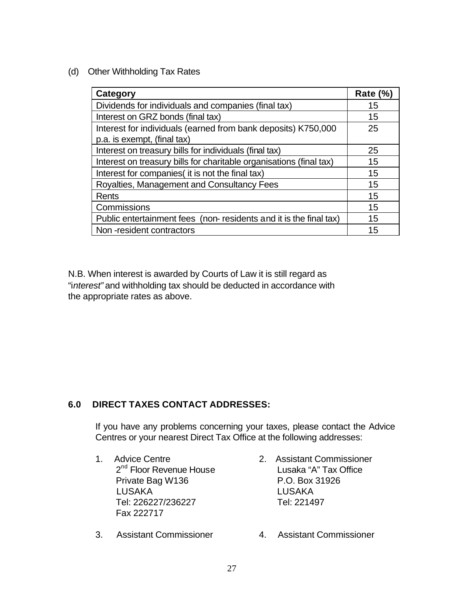(d) Other Withholding Tax Rates

| Category                                                            | Rate $(\%)$ |
|---------------------------------------------------------------------|-------------|
| Dividends for individuals and companies (final tax)                 | 15          |
| Interest on GRZ bonds (final tax)                                   | 15          |
| Interest for individuals (earned from bank deposits) K750,000       | 25          |
| p.a. is exempt, (final tax)                                         |             |
| Interest on treasury bills for individuals (final tax)              | 25          |
| Interest on treasury bills for charitable organisations (final tax) | 15          |
| Interest for companies (it is not the final tax)                    | 15          |
| Royalties, Management and Consultancy Fees                          | 15          |
| Rents                                                               | 15          |
| Commissions                                                         | 15          |
| Public entertainment fees (non-residents and it is the final tax)   | 15          |
| Non-resident contractors                                            | 15          |

N.B. When interest is awarded by Courts of Law it is still regard as "i*nterest"* and withholding tax should be deducted in accordance with the appropriate rates as above.

# **6.0 DIRECT TAXES CONTACT ADDRESSES:**

If you have any problems concerning your taxes, please contact the Advice Centres or your nearest Direct Tax Office at the following addresses:

- 1. Advice Centre 2. Assistant Commissioner Private Bag W136 P.O. Box 31926 LUSAKA LUSAKA Tel: 226227/236227 Tel: 221497 Fax 222717
- 3. Assistant Commissioner 4. Assistant Commissioner
- 2<sup>nd</sup> Floor Revenue House Lusaka "A" Tax Office
	-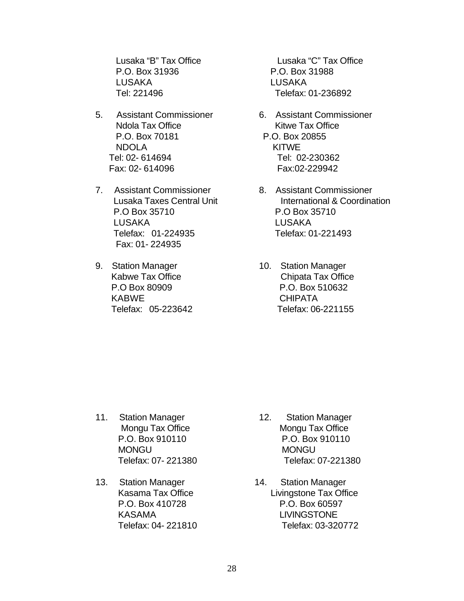P.O. Box 31936 P.O. Box 31988 LUSAKA LUSAKA Tel: 221496 Telefax: 01-236892

- 5. Assistant Commissioner 6. Assistant Commissioner Ndola Tax Office **Kitwe Tax Office**  P.O. Box 70181 P.O. Box 20855 NDOLA KITWE Tel: 02- 614694 Tel: 02-230362 Fax: 02- 614096 Fax:02-229942
- 7. Assistant Commissioner 8. Assistant Commissioner P.O Box 35710 P.O Box 35710 LUSAKA LUSAKA Telefax: 01-224935 Telefax: 01-221493 Fax: 01- 224935
- 9. Station Manager 10. Station Manager KABWE CHIPATA

Lusaka "B" Tax Office Lusaka "C" Tax Office

- 
- Lusaka Taxes Central Unit **International & Coordination**
- Kabwe Tax Office **Chipata Tax Office**  P.O Box 80909 P.O. Box 510632 Telefax: 05-223642 Telefax: 06-221155

- 11. Station Manager 12. Station Manager MONGUNIAN MONGUNIAN MONGUNIAN MONGUNIAN MONGUNIAN MONGUNIAN MONGUNIAN MONGUNIAN MONGUNIAN MONGUNIAN MONGUNIAN MONGU
- 13. Station Manager 14. Station Manager
- Mongu Tax Office Mongu Tax Office P.O. Box 910110 P.O. Box 910110 Telefax: 07- 221380 Telefax: 07-221380
	- Kasama Tax Office Livingstone Tax Office P.O. Box 410728 P.O. Box 60597 KASAMA LIVINGSTONE Telefax: 04- 221810 Telefax: 03-320772